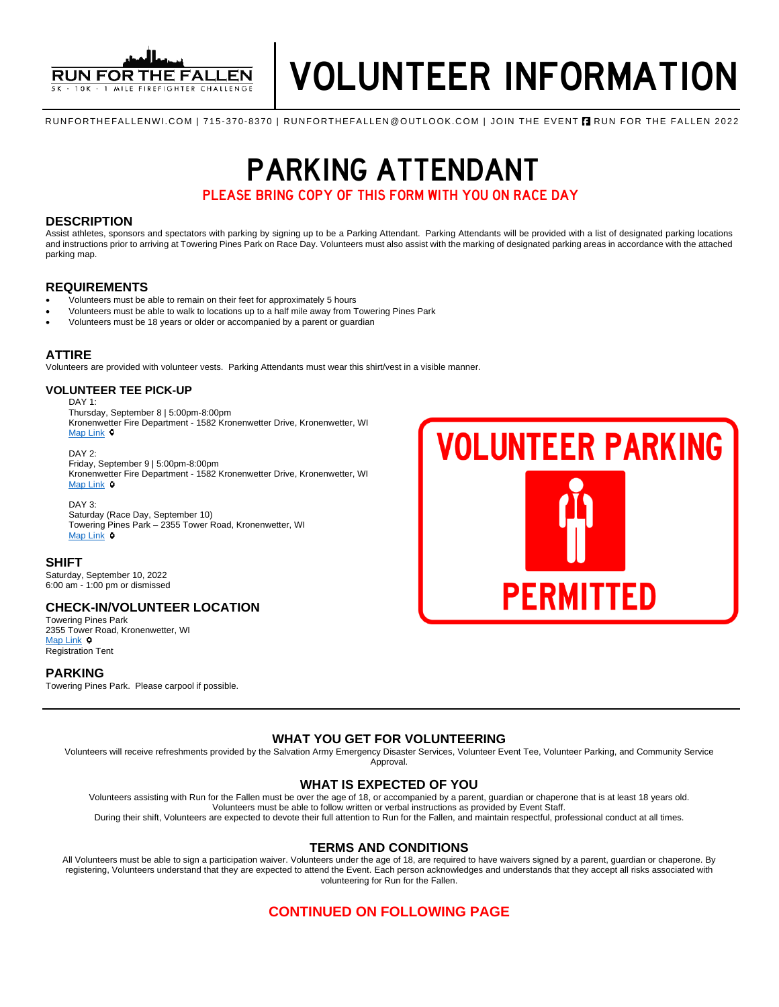

RUNFORTHEFALLENWI.COM | 715-370-8370 | RUNFORTHEFALLEN@OUTLOOK.COM | JOIN THE EVENT **A** RUN FOR THE FALLEN 2022

**PARKING ATTENDANT** 

PLEASE BRING COPY OF THIS FORM WITH YOU ON RACE DAY PLEASE BRING COPY OF THIS FORM WITH YOU ON RACE DAY

## **DESCRIPTION**

Assist athletes, sponsors and spectators with parking by signing up to be a Parking Attendant. Parking Attendants will be provided with a list of designated parking locations and instructions prior to arriving at Towering Pines Park on Race Day. Volunteers must also assist with the marking of designated parking areas in accordance with the attached parking map.

# **REQUIREMENTS**

- Volunteers must be able to remain on their feet for approximately 5 hours
- Volunteers must be able to walk to locations up to a half mile away from Towering Pines Park
- Volunteers must be 18 years or older or accompanied by a parent or guardian

#### **ATTIRE**

Volunteers are provided with volunteer vests. Parking Attendants must wear this shirt/vest in a visible manner.

#### **VOLUNTEER TEE PICK-UP**

DAY 1:

Thursday, September 8 | 5:00pm-8:00pm Kronenwetter Fire Department - 1582 Kronenwetter Drive, Kronenwetter, WI [Map Link](https://www.google.com/maps/place/Kronenwetter+Municipal+Center/@44.8248446,-89.660818,19.47z/data=!4m13!1m7!3m6!1s0x88003ce3aeb11027:0x20ef4eee6649e333!2s1582+I-39+Frontage+Rd,+Mosinee,+WI+54455!3b1!8m2!3d44.824627!4d-89.660117!3m4!1s0x88003ce24bdc74cf:0x8af0c32b7425fe48!8m2!3d44.8246764!4d-89.6603861)  $\circ$ 

DAY 2. Friday, September 9 | 5:00pm-8:00pm Kronenwetter Fire Department - 1582 Kronenwetter Drive, Kronenwetter, WI [Map Link](https://www.google.com/maps/place/Kronenwetter+Municipal+Center/@44.8248446,-89.660818,19.47z/data=!4m13!1m7!3m6!1s0x88003ce3aeb11027:0x20ef4eee6649e333!2s1582+I-39+Frontage+Rd,+Mosinee,+WI+54455!3b1!8m2!3d44.824627!4d-89.660117!3m4!1s0x88003ce24bdc74cf:0x8af0c32b7425fe48!8m2!3d44.8246764!4d-89.6603861) **o** 

# DAY 3:

Saturday (Race Day, September 10) Towering Pines Park – 2355 Tower Road, Kronenwetter, WI [Map Link](https://www.google.com/maps/place/Towering+Pines+Park,+2355+Tower+Rd,+Kronenwetter,+WI+54455/@44.8528983,-89.6321363,17z/data=!3m1!4b1!4m5!3m4!1s0x880023538874f34f:0xd3c0bf75b1048a81!8m2!3d44.8531686!4d-89.6301666)  $\circ$ 

### **SHIFT**

Saturday, September 10, 2022 6:00 am - 1:00 pm or dismissed

# **CHECK-IN/VOLUNTEER LOCATION**

Towering Pines Park 2355 Tower Road, Kronenwetter, WI [Map Link](https://www.google.com/maps/place/Towering+Pines+Park,+2355+Tower+Rd,+Kronenwetter,+WI+54455/@44.8528983,-89.6321363,17z/data=!3m1!4b1!4m5!3m4!1s0x880023538874f34f:0xd3c0bf75b1048a81!8m2!3d44.8531686!4d-89.6301666) <sup>O</sup> Registration Tent

### **PARKING**

Towering Pines Park. Please carpool if possible.



# **WHAT YOU GET FOR VOLUNTEERING**

Volunteers will receive refreshments provided by the Salvation Army Emergency Disaster Services, Volunteer Event Tee, Volunteer Parking, and Community Service Approval.

# **WHAT IS EXPECTED OF YOU**

Volunteers assisting with Run for the Fallen must be over the age of 18, or accompanied by a parent, guardian or chaperone that is at least 18 years old. Volunteers must be able to follow written or verbal instructions as provided by Event Staff. During their shift, Volunteers are expected to devote their full attention to Run for the Fallen, and maintain respectful, professional conduct at all times.

**TERMS AND CONDITIONS**

All Volunteers must be able to sign a participation waiver. Volunteers under the age of 18, are required to have waivers signed by a parent, guardian or chaperone. By registering, Volunteers understand that they are expected to attend the Event. Each person acknowledges and understands that they accept all risks associated with volunteering for Run for the Fallen.

# **CONTINUED ON FOLLOWING PAGE**